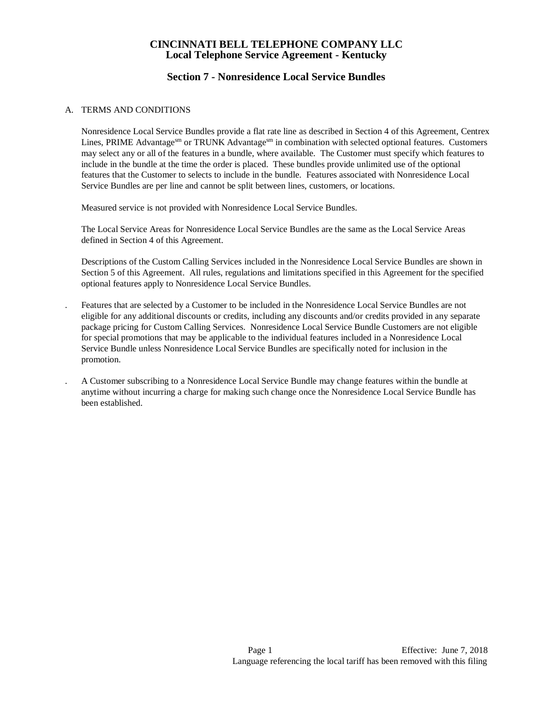## **Section 7 - Nonresidence Local Service Bundles**

### A. TERMS AND CONDITIONS

Nonresidence Local Service Bundles provide a flat rate line as described in Section 4 of this Agreement, Centrex Lines, PRIME Advantagesm or TRUNK Advantagesm in combination with selected optional features. Customers may select any or all of the features in a bundle, where available. The Customer must specify which features to include in the bundle at the time the order is placed. These bundles provide unlimited use of the optional features that the Customer to selects to include in the bundle. Features associated with Nonresidence Local Service Bundles are per line and cannot be split between lines, customers, or locations.

Measured service is not provided with Nonresidence Local Service Bundles.

The Local Service Areas for Nonresidence Local Service Bundles are the same as the Local Service Areas defined in Section 4 of this Agreement.

Descriptions of the Custom Calling Services included in the Nonresidence Local Service Bundles are shown in Section 5 of this Agreement. All rules, regulations and limitations specified in this Agreement for the specified optional features apply to Nonresidence Local Service Bundles.

- . Features that are selected by a Customer to be included in the Nonresidence Local Service Bundles are not eligible for any additional discounts or credits, including any discounts and/or credits provided in any separate package pricing for Custom Calling Services. Nonresidence Local Service Bundle Customers are not eligible for special promotions that may be applicable to the individual features included in a Nonresidence Local Service Bundle unless Nonresidence Local Service Bundles are specifically noted for inclusion in the promotion.
- . A Customer subscribing to a Nonresidence Local Service Bundle may change features within the bundle at anytime without incurring a charge for making such change once the Nonresidence Local Service Bundle has been established.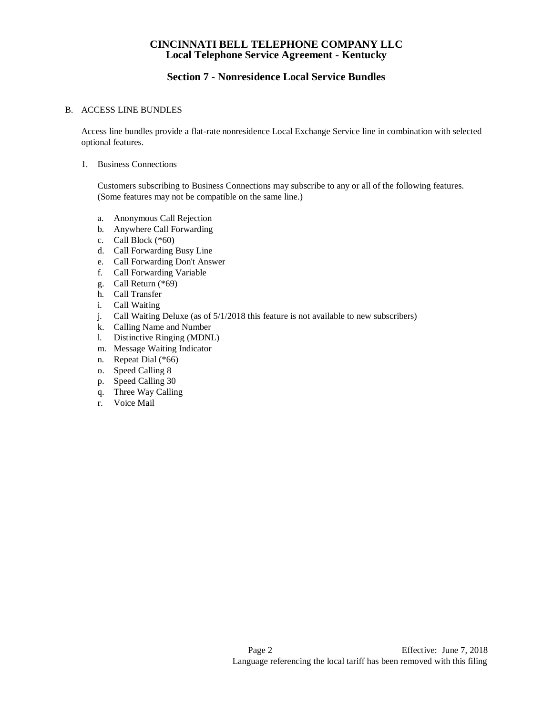# **Section 7 - Nonresidence Local Service Bundles**

### B. ACCESS LINE BUNDLES

Access line bundles provide a flat-rate nonresidence Local Exchange Service line in combination with selected optional features.

#### 1. Business Connections

Customers subscribing to Business Connections may subscribe to any or all of the following features. (Some features may not be compatible on the same line.)

- a. Anonymous Call Rejection
- b. Anywhere Call Forwarding
- c. Call Block (\*60)
- d. Call Forwarding Busy Line
- e. Call Forwarding Don't Answer
- f. Call Forwarding Variable
- g. Call Return (\*69)
- h. Call Transfer
- i. Call Waiting
- j. Call Waiting Deluxe (as of 5/1/2018 this feature is not available to new subscribers)
- k. Calling Name and Number
- l. Distinctive Ringing (MDNL)
- m. Message Waiting Indicator
- n. Repeat Dial (\*66)
- o. Speed Calling 8
- p. Speed Calling 30
- q. Three Way Calling
- r. Voice Mail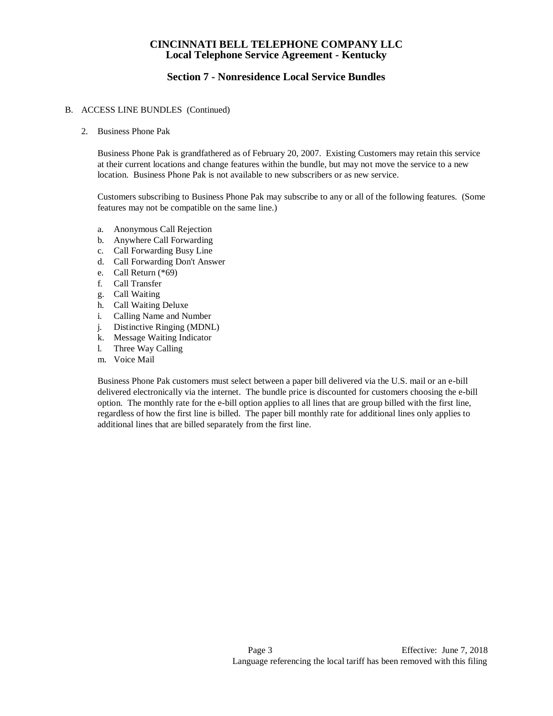## **Section 7 - Nonresidence Local Service Bundles**

#### B. ACCESS LINE BUNDLES (Continued)

2. Business Phone Pak

Business Phone Pak is grandfathered as of February 20, 2007. Existing Customers may retain this service at their current locations and change features within the bundle, but may not move the service to a new location. Business Phone Pak is not available to new subscribers or as new service.

Customers subscribing to Business Phone Pak may subscribe to any or all of the following features. (Some features may not be compatible on the same line.)

- a. Anonymous Call Rejection
- b. Anywhere Call Forwarding
- c. Call Forwarding Busy Line
- d. Call Forwarding Don't Answer
- e. Call Return (\*69)
- f. Call Transfer
- g. Call Waiting
- h. Call Waiting Deluxe
- i. Calling Name and Number
- j. Distinctive Ringing (MDNL)
- k. Message Waiting Indicator
- l. Three Way Calling
- m. Voice Mail

Business Phone Pak customers must select between a paper bill delivered via the U.S. mail or an e-bill delivered electronically via the internet. The bundle price is discounted for customers choosing the e-bill option. The monthly rate for the e-bill option applies to all lines that are group billed with the first line, regardless of how the first line is billed. The paper bill monthly rate for additional lines only applies to additional lines that are billed separately from the first line.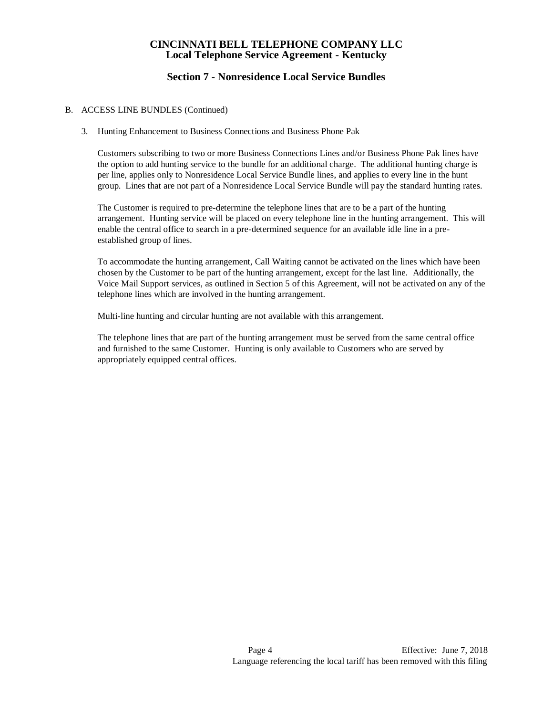# **Section 7 - Nonresidence Local Service Bundles**

#### B. ACCESS LINE BUNDLES (Continued)

3. Hunting Enhancement to Business Connections and Business Phone Pak

Customers subscribing to two or more Business Connections Lines and/or Business Phone Pak lines have the option to add hunting service to the bundle for an additional charge. The additional hunting charge is per line, applies only to Nonresidence Local Service Bundle lines, and applies to every line in the hunt group. Lines that are not part of a Nonresidence Local Service Bundle will pay the standard hunting rates.

The Customer is required to pre-determine the telephone lines that are to be a part of the hunting arrangement. Hunting service will be placed on every telephone line in the hunting arrangement. This will enable the central office to search in a pre-determined sequence for an available idle line in a preestablished group of lines.

To accommodate the hunting arrangement, Call Waiting cannot be activated on the lines which have been chosen by the Customer to be part of the hunting arrangement, except for the last line. Additionally, the Voice Mail Support services, as outlined in Section 5 of this Agreement, will not be activated on any of the telephone lines which are involved in the hunting arrangement.

Multi-line hunting and circular hunting are not available with this arrangement.

The telephone lines that are part of the hunting arrangement must be served from the same central office and furnished to the same Customer. Hunting is only available to Customers who are served by appropriately equipped central offices.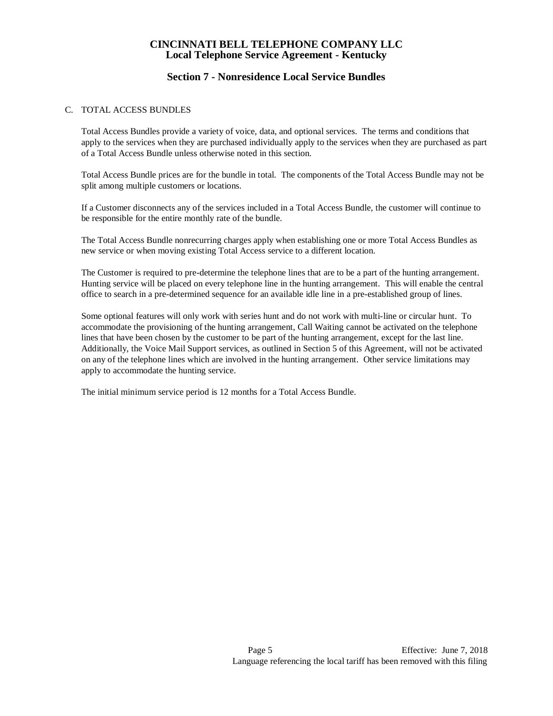## **Section 7 - Nonresidence Local Service Bundles**

### C. TOTAL ACCESS BUNDLES

Total Access Bundles provide a variety of voice, data, and optional services. The terms and conditions that apply to the services when they are purchased individually apply to the services when they are purchased as part of a Total Access Bundle unless otherwise noted in this section.

Total Access Bundle prices are for the bundle in total. The components of the Total Access Bundle may not be split among multiple customers or locations.

If a Customer disconnects any of the services included in a Total Access Bundle, the customer will continue to be responsible for the entire monthly rate of the bundle.

The Total Access Bundle nonrecurring charges apply when establishing one or more Total Access Bundles as new service or when moving existing Total Access service to a different location.

The Customer is required to pre-determine the telephone lines that are to be a part of the hunting arrangement. Hunting service will be placed on every telephone line in the hunting arrangement. This will enable the central office to search in a pre-determined sequence for an available idle line in a pre-established group of lines.

Some optional features will only work with series hunt and do not work with multi-line or circular hunt. To accommodate the provisioning of the hunting arrangement, Call Waiting cannot be activated on the telephone lines that have been chosen by the customer to be part of the hunting arrangement, except for the last line. Additionally, the Voice Mail Support services, as outlined in Section 5 of this Agreement, will not be activated on any of the telephone lines which are involved in the hunting arrangement. Other service limitations may apply to accommodate the hunting service.

The initial minimum service period is 12 months for a Total Access Bundle.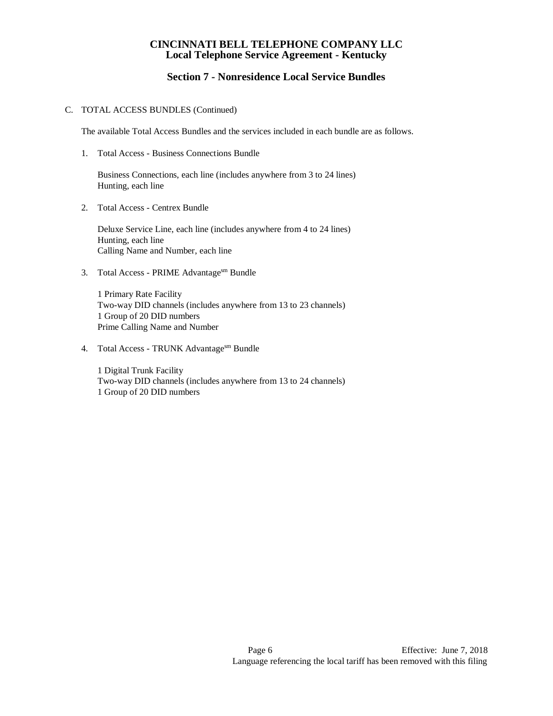# **Section 7 - Nonresidence Local Service Bundles**

#### C. TOTAL ACCESS BUNDLES (Continued)

The available Total Access Bundles and the services included in each bundle are as follows.

1. Total Access - Business Connections Bundle

Business Connections, each line (includes anywhere from 3 to 24 lines) Hunting, each line

2. Total Access - Centrex Bundle

Deluxe Service Line, each line (includes anywhere from 4 to 24 lines) Hunting, each line Calling Name and Number, each line

3. Total Access - PRIME Advantagesm Bundle

1 Primary Rate Facility Two-way DID channels (includes anywhere from 13 to 23 channels) 1 Group of 20 DID numbers Prime Calling Name and Number

4. Total Access - TRUNK Advantagesm Bundle

1 Digital Trunk Facility Two-way DID channels (includes anywhere from 13 to 24 channels) 1 Group of 20 DID numbers